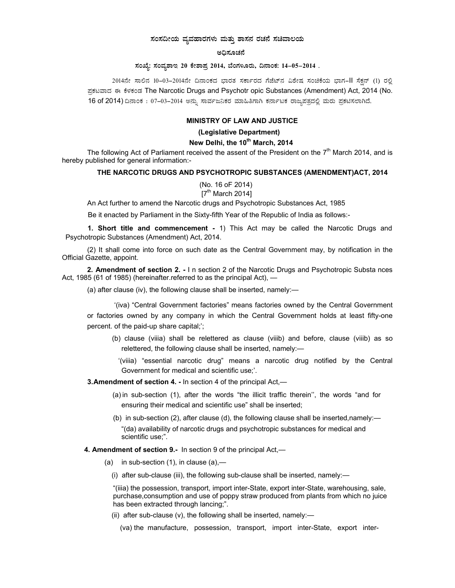## ಸಂಸದೀಯ ವ್ಯವಹಾರಗಳು ಮತ್ತು ಶಾಸನ ರಚನೆ ಸಚಿವಾಲಯ

#### ಅದಿಸೂಚನೆ

### ಸಂಖ್ಯೆ: ಸಂವ್ಯಶಾಇ 20 ಕೇಶಾಪ್ತ 2014, ಬೆಂಗಳೂರು, ದಿನಾಂಕ: 14–05–2014 .

2014ನೇ ಸಾಲಿನ 10-03-2014ನೇ ದಿನಾಂಕದ ಭಾರತ ಸರ್ಕಾರದ ಗೆಜೆಟ್ನ ವಿಶೇಷ ಸಂಚಿಕೆಯ ಭಾಗ-II ಸೆಕ್ಷನ್ (1) ರಲ್ಲಿ ಪಕಟವಾದ ಈ ಕೆಳಕಂಡ The Narcotic Drugs and Psychotr opic Substances (Amendment) Act, 2014 (No. 16 of 2014) ದಿನಾಂಕ : 07–03–2014 ಅನ್ನು ಸಾರ್ವಜನಿಕರ ಮಾಹಿತಿಗಾಗಿ ಕರ್ನಾಟಕ ರಾಜ್ಯಪತ್ರದಲ್ಲಿ ಮರು ಪ್ರಕಟಿಸಲಾಗಿದೆ.

#### **MINISTRY OF LAW AND JUSTICE**

(Legislative Department)

### New Delhi, the 10<sup>th</sup> March, 2014

The following Act of Parliament received the assent of the President on the  $7<sup>th</sup>$  March 2014, and is hereby published for general information:-

#### THE NARCOTIC DRUGS AND PSYCHOTROPIC SUBSTANCES (AMENDMENT)ACT, 2014

(No. 16 oF 2014)  $7<sup>th</sup>$  March 2014]

An Act further to amend the Narcotic drugs and Psychotropic Substances Act, 1985

Be it enacted by Parliament in the Sixty-fifth Year of the Republic of India as follows:-

1. Short title and commencement - 1) This Act may be called the Narcotic Drugs and Psychotropic Substances (Amendment) Act, 2014.

(2) It shall come into force on such date as the Central Government may, by notification in the Official Gazette, appoint.

2. Amendment of section 2. - In section 2 of the Narcotic Drugs and Psychotropic Substa nces Act, 1985 (61 of 1985) (hereinafter.referred to as the principal Act), -

(a) after clause (iv), the following clause shall be inserted, namely:-

'(iva) "Central Government factories" means factories owned by the Central Government or factories owned by any company in which the Central Government holds at least fifty-one percent. of the paid-up share capital;';

(b) clause (viiia) shall be relettered as clause (viiib) and before, clause (viiib) as so relettered, the following clause shall be inserted, namely:-

'(viiia) "essential narcotic drug" means a narcotic drug notified by the Central Government for medical and scientific use;'.

3. Amendment of section 4. - In section 4 of the principal Act,—

- (a) in sub-section (1), after the words "the illicit traffic therein", the words "and for ensuring their medical and scientific use" shall be inserted;
- (b) in sub-section (2), after clause (d), the following clause shall be inserted, namely:— "(da) availability of narcotic drugs and psychotropic substances for medical and scientific use;".

# 4. Amendment of section 9.- In section 9 of the principal Act,-

(a) in sub-section  $(1)$ , in clause  $(a)$ ,—

(i) after sub-clause (iii), the following sub-clause shall be inserted, namely:-

"(iiia) the possession, transport, import inter-State, export inter-State, warehousing, sale, purchase, consumption and use of poppy straw produced from plants from which no juice has been extracted through lancing;".

(ii) after sub-clause (v), the following shall be inserted, namely: $\frac{1}{2}$ 

(va) the manufacture, possession, transport, import inter-State, export inter-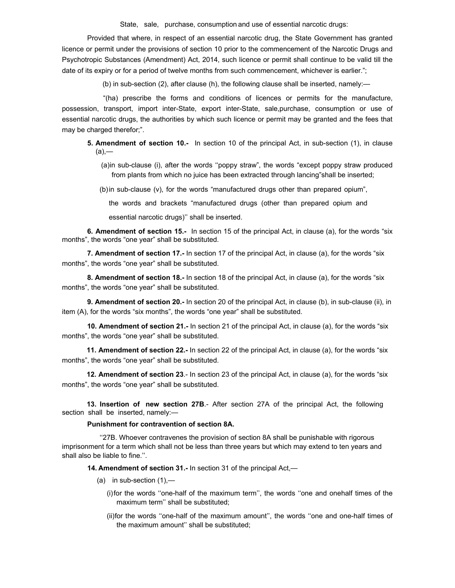State, sale, purchase, consumption and use of essential narcotic drugs:

Provided that where, in respect of an essential narcotic drug, the State Government has granted licence or permit under the provisions of section 10 prior to the commencement of the Narcotic Drugs and Psychotropic Substances (Amendment) Act, 2014, such licence or permit shall continue to be valid till the date of its expiry or for a period of twelve months from such commencement, whichever is earlier.";

(b) in sub-section (2), after clause (h), the following clause shall be inserted, namely:—

"(ha) prescribe the forms and conditions of licences or permits for the manufacture, possession, transport, import inter-State, export inter-State, sale,purchase, consumption or use of essential narcotic drugs, the authorities by which such licence or permit may be granted and the fees that may be charged therefor;".

**5. Amendment of section 10.-** In section 10 of the principal Act, in sub-section (1), in clause (a),—

(a) in sub-clause (i), after the words ''poppy straw", the words "except poppy straw produced from plants from which no juice has been extracted through lancing"shall be inserted;

(b) in sub-clause (v), for the words "manufactured drugs other than prepared opium",

the words and brackets "manufactured drugs (other than prepared opium and

essential narcotic drugs)'' shall be inserted.

**6. Amendment of section 15.-** In section 15 of the principal Act, in clause (a), for the words "six months", the words "one year" shall be substituted.

**7. Amendment of section 17.-** In section 17 of the principal Act, in clause (a), for the words "six months", the words "one year" shall be substituted.

**8. Amendment of section 18.-** In section 18 of the principal Act, in clause (a), for the words "six months", the words "one year" shall be substituted.

**9. Amendment of section 20.-** In section 20 of the principal Act, in clause (b), in sub-clause (ii), in item (A), for the words "six months", the words "one year" shall be substituted.

**10. Amendment of section 21.-** In section 21 of the principal Act, in clause (a), for the words "six months", the words "one year" shall be substituted.

**11. Amendment of section 22.-** In section 22 of the principal Act, in clause (a), for the words "six months", the words "one year" shall be substituted.

**12. Amendment of section 23**.- In section 23 of the principal Act, in clause (a), for the words "six months", the words "one year" shall be substituted.

 **13. Insertion of new section 27B**.- After section 27A of the principal Act, the following section shall be inserted, namely:—

# **Punishment for contravention of section 8A.**

''27B. Whoever contravenes the provision of section 8A shall be punishable with rigorous imprisonment for a term which shall not be less than three years but which may extend to ten years and shall also be liable to fine.''.

**14. Amendment of section 31.-** In section 31 of the principal Act,—

- $(a)$  in sub-section  $(1)$ ,—
	- (i) for the words ''one-half of the maximum term'', the words ''one and onehalf times of the maximum term'' shall be substituted;
	- (ii) for the words ''one-half of the maximum amount'', the words ''one and one-half times of the maximum amount'' shall be substituted;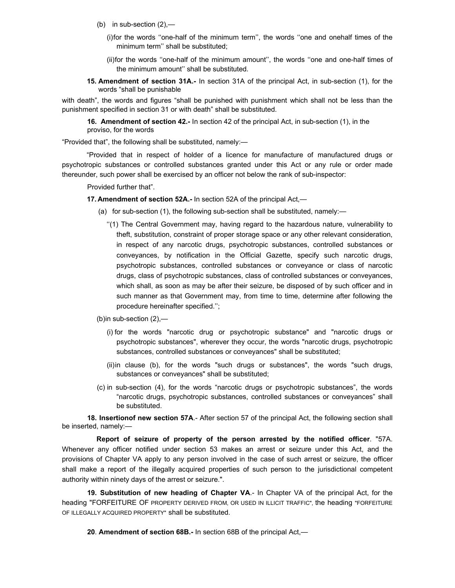- (b) in sub-section  $(2)$ ,-
	- (i) for the words ''one-half of the minimum term'', the words ''one and onehalf times of the minimum term'' shall be substituted;
	- (ii) for the words ''one-half of the minimum amount'', the words ''one and one-half times of the minimum amount'' shall be substituted.
- **15. Amendment of section 31A.-** In section 31A of the principal Act, in sub-section (1), for the words "shall be punishable

with death", the words and figures "shall be punished with punishment which shall not be less than the punishment specified in section 31 or with death" shall be substituted.

**16. Amendment of section 42.-** In section 42 of the principal Act, in sub-section (1), in the proviso, for the words

"Provided that", the following shall be substituted, namely:—

"Provided that in respect of holder of a licence for manufacture of manufactured drugs or psychotropic substances or controlled substances granted under this Act or any rule or order made thereunder, such power shall be exercised by an officer not below the rank of sub-inspector:

Provided further that".

### **17. Amendment of section 52A.-** In section 52A of the principal Act,—

- (a) for sub-section (1), the following sub-section shall be substituted, namely:—
	- ''(1) The Central Government may, having regard to the hazardous nature, vulnerability to theft, substitution, constraint of proper storage space or any other relevant consideration, in respect of any narcotic drugs, psychotropic substances, controlled substances or conveyances, by notification in the Official Gazette, specify such narcotic drugs, psychotropic substances, controlled substances or conveyance or class of narcotic drugs, class of psychotropic substances, class of controlled substances or conveyances, which shall, as soon as may be after their seizure, be disposed of by such officer and in such manner as that Government may, from time to time, determine after following the procedure hereinafter specified.'';

(b) in sub-section  $(2)$ ,-

- (i) for the words "narcotic drug or psychotropic substance" and "narcotic drugs or psychotropic substances", wherever they occur, the words "narcotic drugs, psychotropic substances, controlled substances or conveyances" shall be substituted;
- (ii) in clause (b), for the words "such drugs or substances", the words "such drugs, substances or conveyances" shall be substituted;
- (c) in sub-section (4), for the words "narcotic drugs or psychotropic substances", the words "narcotic drugs, psychotropic substances, controlled substances or conveyances" shall be substituted.

**18. Insertionof new section 57A**.- After section 57 of the principal Act, the following section shall be inserted, namely:—

**Report of seizure of property of the person arrested by the notified officer**. "57A. Whenever any officer notified under section 53 makes an arrest or seizure under this Act, and the provisions of Chapter VA apply to any person involved in the case of such arrest or seizure, the officer shall make a report of the illegally acquired properties of such person to the jurisdictional competent authority within ninety days of the arrest or seizure.".

**19. Substitution of new heading of Chapter VA**.- In Chapter VA of the principal Act, for the heading "FORFEITURE OF PROPERTY DERIVED FROM, OR USED IN ILLICIT TRAFFIC", the heading "FORFEITURE OF ILLEGALLY ACQUIRED PROPERTY" shall be substituted.

**20**. **Amendment of section 68B.-** In section 68B of the principal Act,—